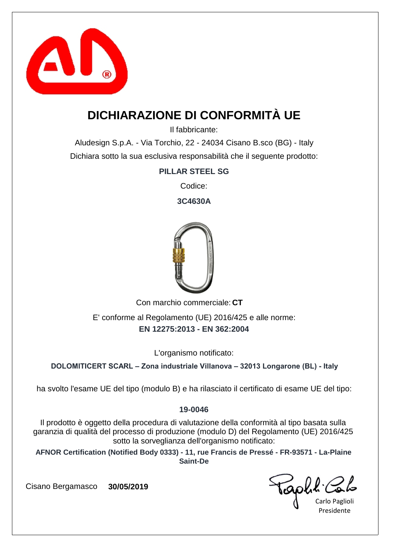

## **DICHIARAZIONE DI CONFORMITÀ UE**

Il fabbricante:

Aludesign S.p.A. - Via Torchio, 22 - 24034 Cisano B.sco (BG) - Italy Dichiara sotto la sua esclusiva responsabilità che il seguente prodotto:

#### **PILLAR STEEL SG**

Codice:

**3C4630A**



Con marchio commerciale: CT

**EN 12275:2013 - EN 362:2004** E' conforme al Regolamento (UE) 2016/425 e alle norme:

L'organismo notificato:

**DOLOMITICERT SCARL – Zona industriale Villanova – 32013 Longarone (BL) - Italy**

ha svolto l'esame UE del tipo (modulo B) e ha rilasciato il certificato di esame UE del tipo:

#### **19-0046**

Il prodotto è oggetto della procedura di valutazione della conformità al tipo basata sulla garanzia di qualità del processo di produzione (modulo D) del Regolamento (UE) 2016/425 sotto la sorveglianza dell'organismo notificato:

**AFNOR Certification (Notified Body 0333) - 11, rue Francis de Pressé - FR-93571 - La-Plaine Saint-De**

Taphi.

Carlo Paglioli Presidente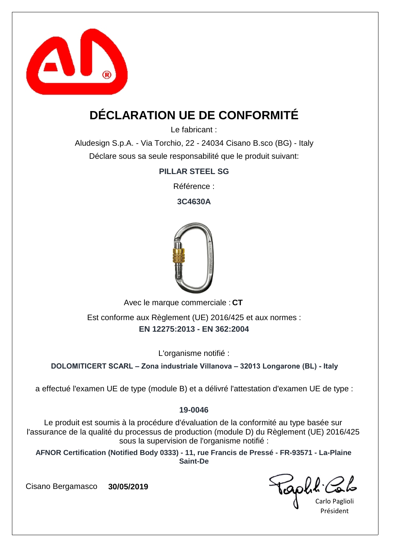

# **DÉCLARATION UE DE CONFORMITÉ**

Le fabricant :

Aludesign S.p.A. - Via Torchio, 22 - 24034 Cisano B.sco (BG) - Italy Déclare sous sa seule responsabilité que le produit suivant:

**PILLAR STEEL SG**

Référence :

**3C4630A**



Avec le marque commerciale : CT

**EN 12275:2013 - EN 362:2004** Est conforme aux Règlement (UE) 2016/425 et aux normes :

L'organisme notifié :

**DOLOMITICERT SCARL – Zona industriale Villanova – 32013 Longarone (BL) - Italy**

a effectué l'examen UE de type (module B) et a délivré l'attestation d'examen UE de type :

#### **19-0046**

Le produit est soumis à la procédure d'évaluation de la conformité au type basée sur l'assurance de la qualité du processus de production (module D) du Règlement (UE) 2016/425 sous la supervision de l'organisme notifié :

**AFNOR Certification (Notified Body 0333) - 11, rue Francis de Pressé - FR-93571 - La-Plaine Saint-De**

aphl C

Carlo Paglioli Président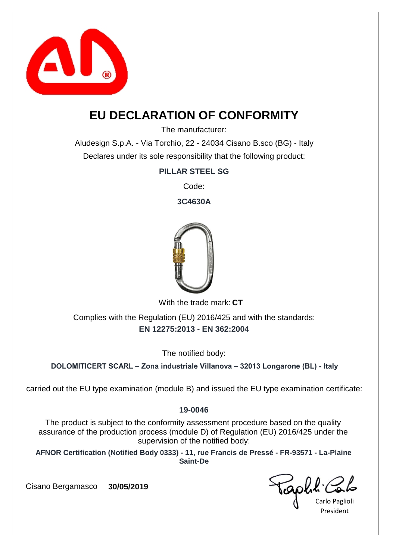

### **EU DECLARATION OF CONFORMITY**

The manufacturer:

Aludesign S.p.A. - Via Torchio, 22 - 24034 Cisano B.sco (BG) - Italy Declares under its sole responsibility that the following product:

**PILLAR STEEL SG**

Code:

**3C4630A**



With the trade mark: CT

**EN 12275:2013 - EN 362:2004** Complies with the Regulation (EU) 2016/425 and with the standards:

The notified body:

**DOLOMITICERT SCARL – Zona industriale Villanova – 32013 Longarone (BL) - Italy**

carried out the EU type examination (module B) and issued the EU type examination certificate:

#### **19-0046**

The product is subject to the conformity assessment procedure based on the quality assurance of the production process (module D) of Regulation (EU) 2016/425 under the supervision of the notified body:

**AFNOR Certification (Notified Body 0333) - 11, rue Francis de Pressé - FR-93571 - La-Plaine Saint-De**

Gold Con

President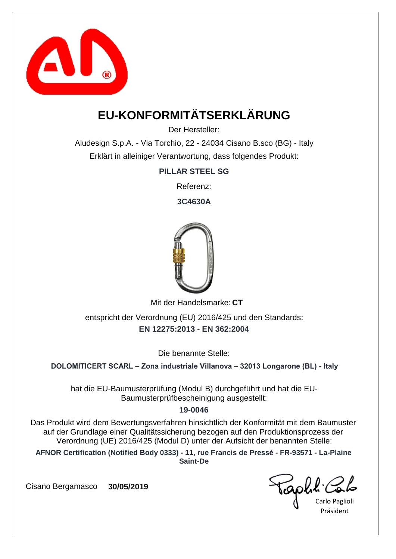

# **EU-KONFORMITÄTSERKLÄRUNG**

Der Hersteller:

Aludesign S.p.A. - Via Torchio, 22 - 24034 Cisano B.sco (BG) - Italy Erklärt in alleiniger Verantwortung, dass folgendes Produkt:

**PILLAR STEEL SG**

Referenz:

**3C4630A**



Mit der Handelsmarke: CT

**EN 12275:2013 - EN 362:2004** entspricht der Verordnung (EU) 2016/425 und den Standards:

Die benannte Stelle:

**DOLOMITICERT SCARL – Zona industriale Villanova – 32013 Longarone (BL) - Italy**

hat die EU-Baumusterprüfung (Modul B) durchgeführt und hat die EU-Baumusterprüfbescheinigung ausgestellt:

#### **19-0046**

Das Produkt wird dem Bewertungsverfahren hinsichtlich der Konformität mit dem Baumuster auf der Grundlage einer Qualitätssicherung bezogen auf den Produktionsprozess der Verordnung (UE) 2016/425 (Modul D) unter der Aufsicht der benannten Stelle:

**AFNOR Certification (Notified Body 0333) - 11, rue Francis de Pressé - FR-93571 - La-Plaine Saint-De**

aphl Co

Carlo Paglioli Präsident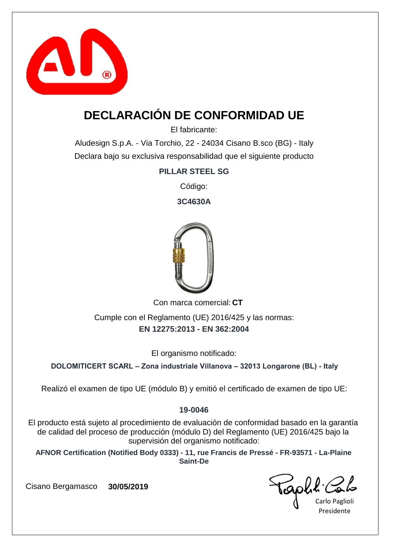

# **DECLARACIÓN DE CONFORMIDAD UE**

El fabricante:

Aludesign S.p.A. - Via Torchio, 22 - 24034 Cisano B.sco (BG) - Italy Declara bajo su exclusiva responsabilidad que el siguiente producto

**PILLAR STEEL SG**

Código:

**3C4630A**



Con marca comercial: CT

**EN 12275:2013 - EN 362:2004** Cumple con el Reglamento (UE) 2016/425 y las normas:

El organismo notificado:

**DOLOMITICERT SCARL – Zona industriale Villanova – 32013 Longarone (BL) - Italy**

Realizó el examen de tipo UE (módulo B) y emitió el certificado de examen de tipo UE:

#### **19-0046**

El producto está sujeto al procedimiento de evaluación de conformidad basado en la garantía de calidad del proceso de producción (módulo D) del Reglamento (UE) 2016/425 bajo la supervisión del organismo notificado:

**AFNOR Certification (Notified Body 0333) - 11, rue Francis de Pressé - FR-93571 - La-Plaine Saint-De**

aphl C

Carlo Paglioli Presidente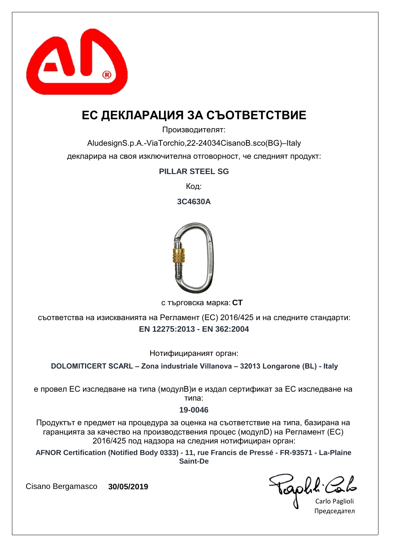

### **ЕС ДЕКЛАРАЦИЯ ЗА СЪОТВЕТСТВИЕ**

Производителят:

AludesignS.p.A.-ViaTorchio,22-24034CisanoB.sco(BG)–Italy декларира на своя изключителна отговорност, че следният продукт:

**PILLAR STEEL SG**

Код:

**3C4630A**



**CT** с търговска марка:

**EN 12275:2013 - EN 362:2004** съответства на изискванията на Регламент (ЕС) 2016/425 и на следните стандарти:

Нотифицираният орган:

**DOLOMITICERT SCARL – Zona industriale Villanova – 32013 Longarone (BL) - Italy**

е провел ЕС изследване на типа (модулB)и е издал сертификат за ЕС изследване на типа:

#### **19-0046**

Продуктът е предмет на процедура за оценка на съответствие на типа, базирана на гаранцията за качество на производствения процес (модулD) на Регламент (ЕС) 2016/425 под надзора на следния нотифициран орган:

**AFNOR Certification (Notified Body 0333) - 11, rue Francis de Pressé - FR-93571 - La-Plaine Saint-De**

GOUL COL

Председател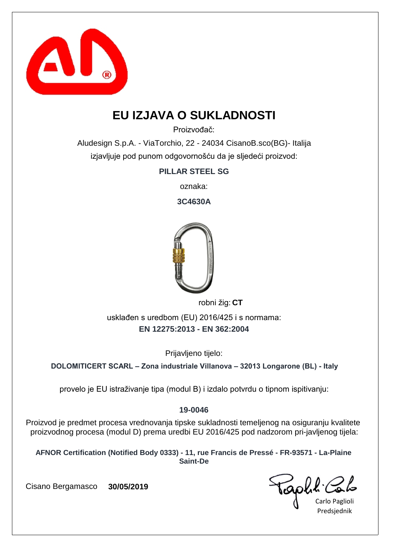

### **EU IZJAVA O SUKLADNOSTI**

Proizvođač:

Aludesign S.p.A. - ViaTorchio, 22 - 24034 CisanoB.sco(BG)- Italija izjavljuje pod punom odgovornošću da je sljedeći proizvod:

**PILLAR STEEL SG**

oznaka:

**3C4630A**



robni žig: CT

**EN 12275:2013 - EN 362:2004** usklađen s uredbom (EU) 2016/425 i s normama:

Prijavljeno tijelo:

**DOLOMITICERT SCARL – Zona industriale Villanova – 32013 Longarone (BL) - Italy**

provelo je EU istraživanje tipa (modul B) i izdalo potvrdu o tipnom ispitivanju:

#### **19-0046**

Proizvod je predmet procesa vrednovanja tipske sukladnosti temeljenog na osiguranju kvalitete proizvodnog procesa (modul D) prema uredbi EU 2016/425 pod nadzorom pri-javljenog tijela:

**AFNOR Certification (Notified Body 0333) - 11, rue Francis de Pressé - FR-93571 - La-Plaine Saint-De**

Carlo Paglioli Predsjednik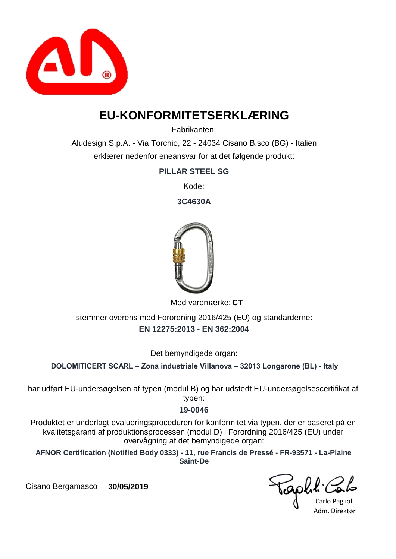

### **EU-KONFORMITETSERKLÆRING**

Fabrikanten:

Aludesign S.p.A. - Via Torchio, 22 - 24034 Cisano B.sco (BG) - Italien erklærer nedenfor eneansvar for at det følgende produkt:

**PILLAR STEEL SG**

Kode:

**3C4630A**



Med varemærke: CT

**EN 12275:2013 - EN 362:2004** stemmer overens med Forordning 2016/425 (EU) og standarderne:

Det bemyndigede organ:

**DOLOMITICERT SCARL – Zona industriale Villanova – 32013 Longarone (BL) - Italy**

har udført EU-undersøgelsen af typen (modul B) og har udstedt EU-undersøgelsescertifikat af typen:

#### **19-0046**

Produktet er underlagt evalueringsproceduren for konformitet via typen, der er baseret på en kvalitetsgaranti af produktionsprocessen (modul D) i Forordning 2016/425 (EU) under overvågning af det bemyndigede organ:

**AFNOR Certification (Notified Body 0333) - 11, rue Francis de Pressé - FR-93571 - La-Plaine Saint-De**

capha.c

Carlo Paglioli Adm. Direktør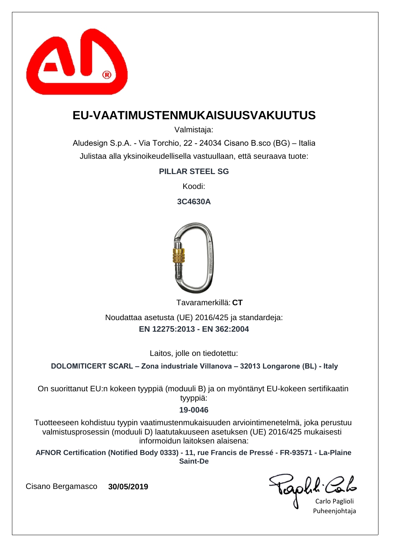

### **EU-VAATIMUSTENMUKAISUUSVAKUUTUS**

Valmistaja:

Aludesign S.p.A. - Via Torchio, 22 - 24034 Cisano B.sco (BG) – Italia Julistaa alla yksinoikeudellisella vastuullaan, että seuraava tuote:

**PILLAR STEEL SG**

Koodi:

**3C4630A**



**CT** Tavaramerkillä:

**EN 12275:2013 - EN 362:2004** Noudattaa asetusta (UE) 2016/425 ja standardeja:

Laitos, jolle on tiedotettu:

**DOLOMITICERT SCARL – Zona industriale Villanova – 32013 Longarone (BL) - Italy**

On suorittanut EU:n kokeen tyyppiä (moduuli B) ja on myöntänyt EU-kokeen sertifikaatin tyyppiä:

#### **19-0046**

Tuotteeseen kohdistuu tyypin vaatimustenmukaisuuden arviointimenetelmä, joka perustuu valmistusprosessin (moduuli D) laatutakuuseen asetuksen (UE) 2016/425 mukaisesti informoidun laitoksen alaisena:

**AFNOR Certification (Notified Body 0333) - 11, rue Francis de Pressé - FR-93571 - La-Plaine Saint-De**

capha.

Carlo Paglioli Puheenjohtaja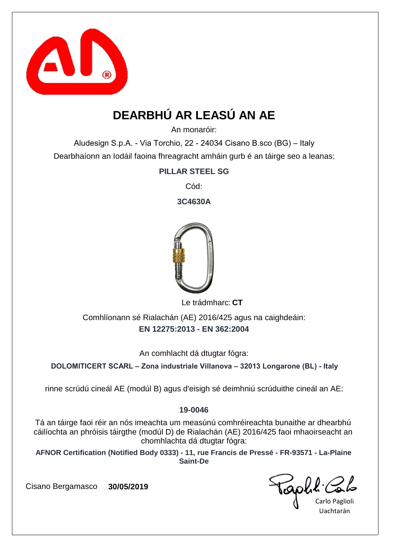

# **DEARBHÚ AR LEASÚ AN AE**

An monaróir:

Aludesign S.p.A. - Via Torchio, 22 - 24034 Cisano B.sco (BG) – Italy Dearbhaíonn an Iodáil faoina fhreagracht amháin gurb é an táirge seo a leanas:

**PILLAR STEEL SG**

Cód:

**3C4630A**



Le trádmharc: CT

**EN 12275:2013 - EN 362:2004** Comhlíonann sé Rialachán (AE) 2016/425 agus na caighdeáin:

An comhlacht dá dtugtar fógra:

**DOLOMITICERT SCARL – Zona industriale Villanova – 32013 Longarone (BL) - Italy**

rinne scrúdú cineál AE (modúl B) agus d'eisigh sé deimhniú scrúduithe cineál an AE:

#### **19-0046**

Tá an táirge faoi réir an nós imeachta um measúnú comhréireachta bunaithe ar dhearbhú cáilíochta an phróisis táirgthe (modúl D) de Rialachán (AE) 2016/425 faoi mhaoirseacht an chomhlachta dá dtugtar fógra:

**AFNOR Certification (Notified Body 0333) - 11, rue Francis de Pressé - FR-93571 - La-Plaine Saint-De**

iaphl'

Carlo Paglioli Uachtarán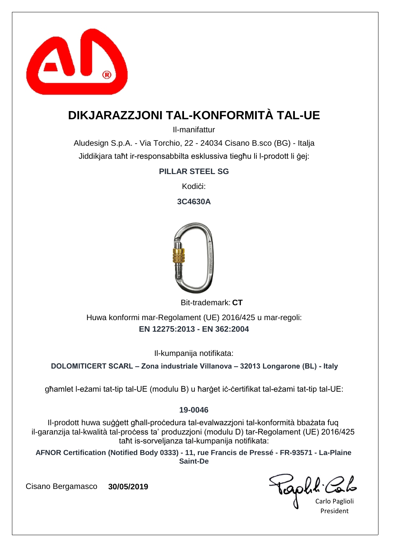

## **DIKJARAZZJONI TAL-KONFORMITÀ TAL-UE**

Il-manifattur

Aludesign S.p.A. - Via Torchio, 22 - 24034 Cisano B.sco (BG) - Italja Jiddikjara taħt ir-responsabbilta esklussiva tiegħu li l-prodott li ġej:

**PILLAR STEEL SG**

Kodići:

**3C4630A**



Bit-trademark: CT

**EN 12275:2013 - EN 362:2004** Huwa konformi mar-Regolament (UE) 2016/425 u mar-regoli:

Il-kumpanija notifikata:

**DOLOMITICERT SCARL – Zona industriale Villanova – 32013 Longarone (BL) - Italy**

għamlet l-eżami tat-tip tal-UE (modulu B) u ħarġet iċ-ċertifikat tal-eżami tat-tip tal-UE:

#### **19-0046**

Il-prodott huwa suġġett għall-proċedura tal-evalwazzjoni tal-konformità bbażata fuq il-garanzija tal-kwalità tal-proċess ta' produzzjoni (modulu D) tar-Regolament (UE) 2016/425 taħt is-sorveljanza tal-kumpanija notifikata:

**AFNOR Certification (Notified Body 0333) - 11, rue Francis de Pressé - FR-93571 - La-Plaine Saint-De**

Golk.

Carlo Paglioli President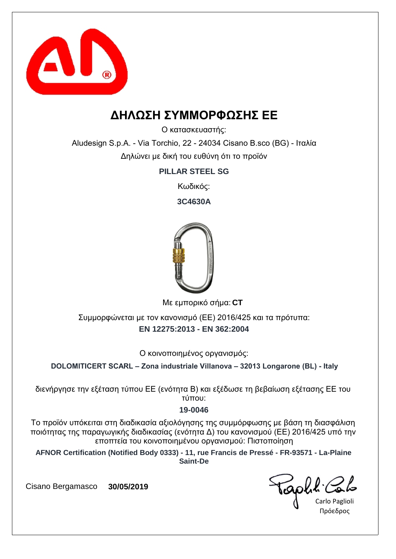

### **ΔΗΛΩΣΗ ΣΥΜΜΟΡΦΩΣΗΣ ΕΕ**

Ο κατασκευαστής:

Aludesign S.p.A. - Via Torchio, 22 - 24034 Cisano B.sco (BG) - Ιταλία Δηλώνει με δική του ευθύνη ότι το προϊόν

**PILLAR STEEL SG**

Κωδικός:

**3C4630A**



**CT** Με εμπορικό σήμα:

**EN 12275:2013 - EN 362:2004** Συμμορφώνεται με τον κανονισμό (ΕΕ) 2016/425 και τα πρότυπα:

Ο κοινοποιημένος οργανισμός:

**DOLOMITICERT SCARL – Zona industriale Villanova – 32013 Longarone (BL) - Italy**

διενήργησε την εξέταση τύπου ΕΕ (ενότητα Β) και εξέδωσε τη βεβαίωση εξέτασης ΕΕ του τύπου:

#### **19-0046**

Το προϊόν υπόκειται στη διαδικασία αξιολόγησης της συμμόρφωσης με βάση τη διασφάλιση ποιότητας της παραγωγικής διαδικασίας (ενότητα Δ) του κανονισμού (ΕΕ) 2016/425 υπό την εποπτεία του κοινοποιημένου οργανισμού: Πιστοποίηση

**AFNOR Certification (Notified Body 0333) - 11, rue Francis de Pressé - FR-93571 - La-Plaine Saint-De**

Gold.

Carlo Paglioli Πρόεδρος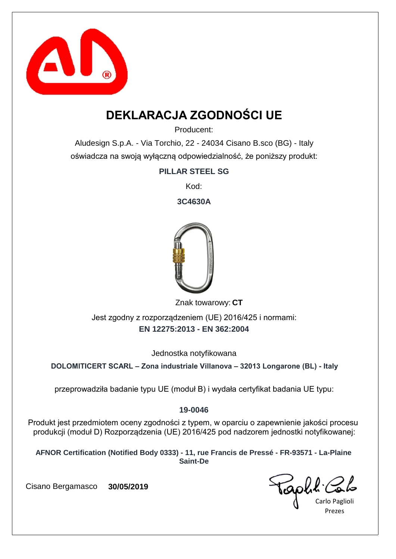

## **DEKLARACJA ZGODNOŚCI UE**

Producent:

Aludesign S.p.A. - Via Torchio, 22 - 24034 Cisano B.sco (BG) - Italy oświadcza na swoją wyłączną odpowiedzialność, że poniższy produkt:

**PILLAR STEEL SG**

Kod:

**3C4630A**



Znak towarowy: CT

**EN 12275:2013 - EN 362:2004** Jest zgodny z rozporządzeniem (UE) 2016/425 i normami:

Jednostka notyfikowana

**DOLOMITICERT SCARL – Zona industriale Villanova – 32013 Longarone (BL) - Italy**

przeprowadziła badanie typu UE (moduł B) i wydała certyfikat badania UE typu:

#### **19-0046**

Produkt jest przedmiotem oceny zgodności z typem, w oparciu o zapewnienie jakości procesu produkcji (moduł D) Rozporządzenia (UE) 2016/425 pod nadzorem jednostki notyfikowanej:

**AFNOR Certification (Notified Body 0333) - 11, rue Francis de Pressé - FR-93571 - La-Plaine Saint-De**

Carlo Paglioli Prezes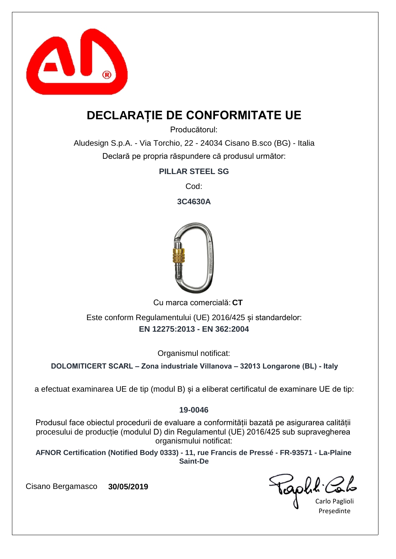

### **DECLARAȚIE DE CONFORMITATE UE**

Producătorul:

Aludesign S.p.A. - Via Torchio, 22 - 24034 Cisano B.sco (BG) - Italia Declară pe propria răspundere că produsul următor:

**PILLAR STEEL SG**

Cod:

**3C4630A**



Cu marca comercială: CT

**EN 12275:2013 - EN 362:2004** Este conform Regulamentului (UE) 2016/425 și standardelor:

Organismul notificat:

**DOLOMITICERT SCARL – Zona industriale Villanova – 32013 Longarone (BL) - Italy**

a efectuat examinarea UE de tip (modul B) și a eliberat certificatul de examinare UE de tip:

#### **19-0046**

Produsul face obiectul procedurii de evaluare a conformității bazată pe asigurarea calității procesului de producție (modulul D) din Regulamentul (UE) 2016/425 sub supravegherea organismului notificat:

**AFNOR Certification (Notified Body 0333) - 11, rue Francis de Pressé - FR-93571 - La-Plaine Saint-De**

raphit.

Carlo Paglioli **Presedinte**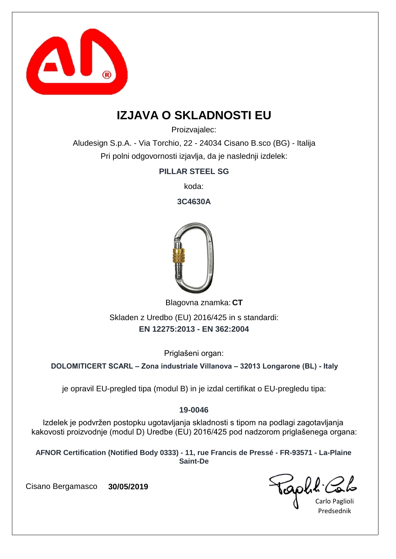

### **IZJAVA O SKLADNOSTI EU**

Proizvajalec:

Aludesign S.p.A. - Via Torchio, 22 - 24034 Cisano B.sco (BG) - Italija Pri polni odgovornosti izjavlja, da je naslednji izdelek:

**PILLAR STEEL SG**

koda:

**3C4630A**



Blagovna znamka: CT

**EN 12275:2013 - EN 362:2004** Skladen z Uredbo (EU) 2016/425 in s standardi:

Priglašeni organ:

**DOLOMITICERT SCARL – Zona industriale Villanova – 32013 Longarone (BL) - Italy**

je opravil EU-pregled tipa (modul B) in je izdal certifikat o EU-pregledu tipa:

#### **19-0046**

Izdelek je podvržen postopku ugotavljanja skladnosti s tipom na podlagi zagotavljanja kakovosti proizvodnje (modul D) Uredbe (EU) 2016/425 pod nadzorom priglašenega organa:

**AFNOR Certification (Notified Body 0333) - 11, rue Francis de Pressé - FR-93571 - La-Plaine Saint-De**

Carlo Paglioli Predsednik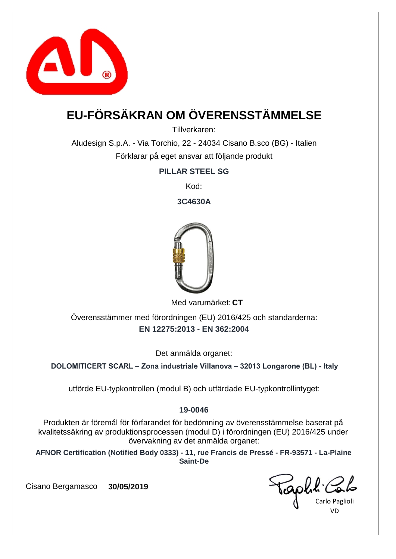

# **EU-FÖRSÄKRAN OM ÖVERENSSTÄMMELSE**

Tillverkaren:

Aludesign S.p.A. - Via Torchio, 22 - 24034 Cisano B.sco (BG) - Italien Förklarar på eget ansvar att följande produkt

**PILLAR STEEL SG**

Kod:

**3C4630A**



Med varumärket: CT

**EN 12275:2013 - EN 362:2004** Överensstämmer med förordningen (EU) 2016/425 och standarderna:

Det anmälda organet:

**DOLOMITICERT SCARL – Zona industriale Villanova – 32013 Longarone (BL) - Italy**

utförde EU-typkontrollen (modul B) och utfärdade EU-typkontrollintyget:

#### **19-0046**

Produkten är föremål för förfarandet för bedömning av överensstämmelse baserat på kvalitetssäkring av produktionsprocessen (modul D) i förordningen (EU) 2016/425 under övervakning av det anmälda organet:

**AFNOR Certification (Notified Body 0333) - 11, rue Francis de Pressé - FR-93571 - La-Plaine Saint-De**

Carlo Paglioli VD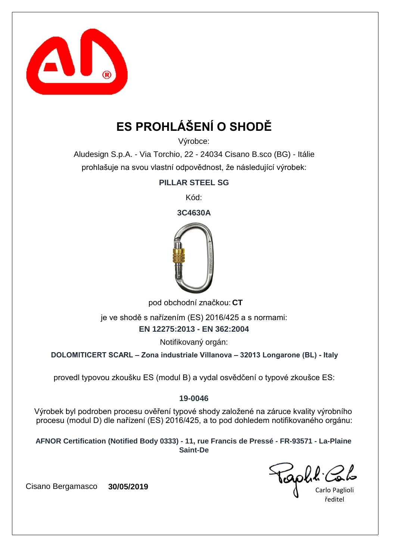

# **ES PROHLÁŠENÍ O SHODĚ**

Výrobce:

Aludesign S.p.A. - Via Torchio, 22 - 24034 Cisano B.sco (BG) - Itálie prohlašuje na svou vlastní odpovědnost, že následující výrobek:

**PILLAR STEEL SG**

Kód:

**3C4630A**



pod obchodní značkou: CT

**EN 12275:2013 - EN 362:2004** je ve shodě s nařízením (ES) 2016/425 a s normami:

Notifikovaný orgán:

**DOLOMITICERT SCARL – Zona industriale Villanova – 32013 Longarone (BL) - Italy**

provedl typovou zkoušku ES (modul B) a vydal osvědčení o typové zkoušce ES:

#### **19-0046**

Výrobek byl podroben procesu ověření typové shody založené na záruce kvality výrobního procesu (modul D) dle nařízení (ES) 2016/425, a to pod dohledem notifikovaného orgánu:

**AFNOR Certification (Notified Body 0333) - 11, rue Francis de Pressé - FR-93571 - La-Plaine Saint-De**

aphr.

Carlo Paglioli ředitel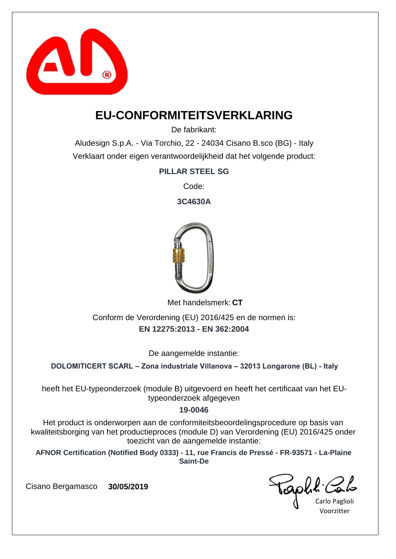

### **EU-CONFORMITEITSVERKLARING**

De fabrikant:

Aludesign S.p.A. - Via Torchio, 22 - 24034 Cisano B.sco (BG) - Italy Verklaart onder eigen verantwoordelijkheid dat het volgende product:

**PILLAR STEEL SG**

Code:

**3C4630A**



Met handelsmerk: CT

**EN 12275:2013 - EN 362:2004** Conform de Verordening (EU) 2016/425 en de normen is:

De aangemelde instantie:

**DOLOMITICERT SCARL – Zona industriale Villanova – 32013 Longarone (BL) - Italy**

heeft het EU-typeonderzoek (module B) uitgevoerd en heeft het certificaat van het EUtypeonderzoek afgegeven

#### **19-0046**

Het product is onderworpen aan de conformiteitsbeoordelingsprocedure op basis van kwaliteitsborging van het productieproces (module D) van Verordening (EU) 2016/425 onder toezicht van de aangemelde instantie:

**AFNOR Certification (Notified Body 0333) - 11, rue Francis de Pressé - FR-93571 - La-Plaine Saint-De**

capha.

Carlo Paglioli Voorzitter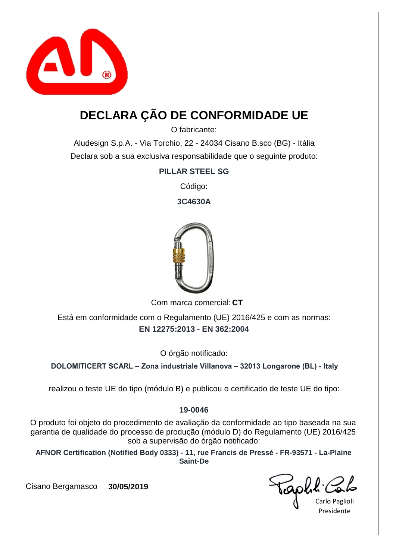

# **DECLARA ÇÃO DE CONFORMIDADE UE**

O fabricante:

Aludesign S.p.A. - Via Torchio, 22 - 24034 Cisano B.sco (BG) - Itália Declara sob a sua exclusiva responsabilidade que o seguinte produto:

**PILLAR STEEL SG**

Código:

**3C4630A**



Com marca comercial: CT

**EN 12275:2013 - EN 362:2004** Está em conformidade com o Regulamento (UE) 2016/425 e com as normas:

O órgão notificado:

**DOLOMITICERT SCARL – Zona industriale Villanova – 32013 Longarone (BL) - Italy**

realizou o teste UE do tipo (módulo B) e publicou o certificado de teste UE do tipo:

#### **19-0046**

O produto foi objeto do procedimento de avaliação da conformidade ao tipo baseada na sua garantia de qualidade do processo de produção (módulo D) do Regulamento (UE) 2016/425 sob a supervisão do órgão notificado:

**AFNOR Certification (Notified Body 0333) - 11, rue Francis de Pressé - FR-93571 - La-Plaine Saint-De**

Gold'

Carlo Paglioli Presidente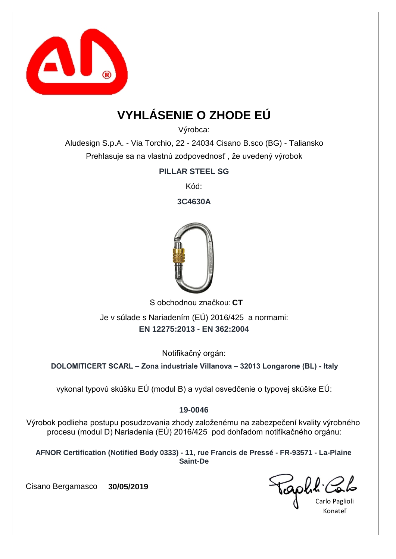

# **VYHLÁSENIE O ZHODE EÚ**

Výrobca:

Aludesign S.p.A. - Via Torchio, 22 - 24034 Cisano B.sco (BG) - Taliansko Prehlasuje sa na vlastnú zodpovednosť , že uvedený výrobok

**PILLAR STEEL SG**

Kód:

**3C4630A**



S obchodnou značkou: CT

**EN 12275:2013 - EN 362:2004** Je v súlade s Nariadením (EÚ) 2016/425 a normami:

Notifikačný orgán:

**DOLOMITICERT SCARL – Zona industriale Villanova – 32013 Longarone (BL) - Italy**

vykonal typovú skúšku EÚ (modul B) a vydal osvedčenie o typovej skúške EÚ:

#### **19-0046**

Výrobok podlieha postupu posudzovania zhody založenému na zabezpečení kvality výrobného procesu (modul D) Nariadenia (EÚ) 2016/425 pod dohľadom notifikačného orgánu:

**AFNOR Certification (Notified Body 0333) - 11, rue Francis de Pressé - FR-93571 - La-Plaine Saint-De**

Carlo Paglioli Konateľ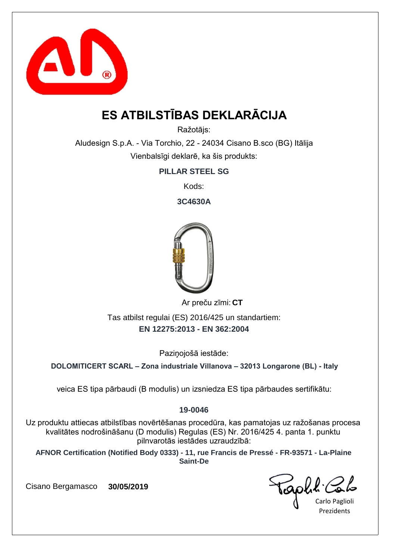

# **ES ATBILSTĪBAS DEKLARĀCIJA**

Ražotājs:

Aludesign S.p.A. - Via Torchio, 22 - 24034 Cisano B.sco (BG) Itālija Vienbalsīgi deklarē, ka šis produkts:

**PILLAR STEEL SG**

Kods:

**3C4630A**



**CT** Ar preču zīmi:

**EN 12275:2013 - EN 362:2004** Tas atbilst regulai (ES) 2016/425 un standartiem:

Paziņojošā iestāde:

**DOLOMITICERT SCARL – Zona industriale Villanova – 32013 Longarone (BL) - Italy**

veica ES tipa pārbaudi (B modulis) un izsniedza ES tipa pārbaudes sertifikātu:

#### **19-0046**

Uz produktu attiecas atbilstības novērtēšanas procedūra, kas pamatojas uz ražošanas procesa kvalitātes nodrošināšanu (D modulis) Regulas (ES) Nr. 2016/425 4. panta 1. punktu pilnvarotās iestādes uzraudzībā:

**AFNOR Certification (Notified Body 0333) - 11, rue Francis de Pressé - FR-93571 - La-Plaine Saint-De**

Taph!

Carlo Paglioli **Prezidents**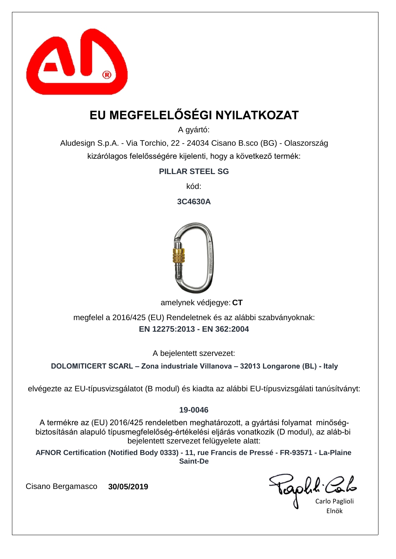

# **EU MEGFELELŐSÉGI NYILATKOZAT**

A gyártó:

Aludesign S.p.A. - Via Torchio, 22 - 24034 Cisano B.sco (BG) - Olaszország kizárólagos felelősségére kijelenti, hogy a következő termék:

**PILLAR STEEL SG**

kód:

**3C4630A**



amelynek védjegye: CT

**EN 12275:2013 - EN 362:2004** megfelel a 2016/425 (EU) Rendeletnek és az alábbi szabványoknak:

A bejelentett szervezet:

**DOLOMITICERT SCARL – Zona industriale Villanova – 32013 Longarone (BL) - Italy**

elvégezte az EU-típusvizsgálatot (B modul) és kiadta az alábbi EU-típusvizsgálati tanúsítványt:

#### **19-0046**

A termékre az (EU) 2016/425 rendeletben meghatározott, a gyártási folyamat minőségbiztosításán alapuló típusmegfelelőség-értékelési eljárás vonatkozik (D modul), az aláb-bi bejelentett szervezet felügyelete alatt:

**AFNOR Certification (Notified Body 0333) - 11, rue Francis de Pressé - FR-93571 - La-Plaine Saint-De**

Carlo Paglioli Elnök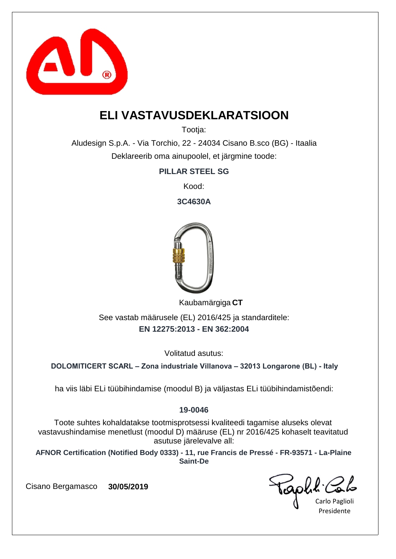

### **ELI VASTAVUSDEKLARATSIOON**

Tootia:

Aludesign S.p.A. - Via Torchio, 22 - 24034 Cisano B.sco (BG) - Itaalia Deklareerib oma ainupoolel, et järgmine toode:

**PILLAR STEEL SG**

Kood:

**3C4630A**



**CT** Kaubamärgiga

**EN 12275:2013 - EN 362:2004** See vastab määrusele (EL) 2016/425 ja standarditele:

Volitatud asutus:

**DOLOMITICERT SCARL – Zona industriale Villanova – 32013 Longarone (BL) - Italy**

ha viis läbi ELi tüübihindamise (moodul B) ja väljastas ELi tüübihindamistõendi:

#### **19-0046**

Toote suhtes kohaldatakse tootmisprotsessi kvaliteedi tagamise aluseks olevat vastavushindamise menetlust (moodul D) määruse (EL) nr 2016/425 kohaselt teavitatud asutuse järelevalve all:

**AFNOR Certification (Notified Body 0333) - 11, rue Francis de Pressé - FR-93571 - La-Plaine Saint-De**

aphl C

Carlo Paglioli Presidente